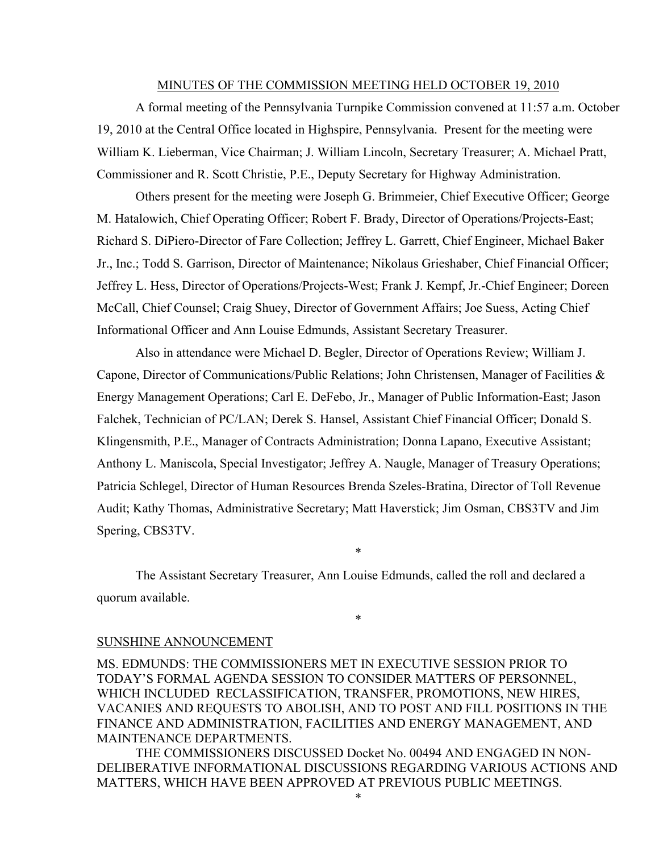#### MINUTES OF THE COMMISSION MEETING HELD OCTOBER 19, 2010

A formal meeting of the Pennsylvania Turnpike Commission convened at 11:57 a.m. October 19, 2010 at the Central Office located in Highspire, Pennsylvania. Present for the meeting were William K. Lieberman, Vice Chairman; J. William Lincoln, Secretary Treasurer; A. Michael Pratt, Commissioner and R. Scott Christie, P.E., Deputy Secretary for Highway Administration.

Others present for the meeting were Joseph G. Brimmeier, Chief Executive Officer; George M. Hatalowich, Chief Operating Officer; Robert F. Brady, Director of Operations/Projects-East; Richard S. DiPiero-Director of Fare Collection; Jeffrey L. Garrett, Chief Engineer, Michael Baker Jr., Inc.; Todd S. Garrison, Director of Maintenance; Nikolaus Grieshaber, Chief Financial Officer; Jeffrey L. Hess, Director of Operations/Projects-West; Frank J. Kempf, Jr.-Chief Engineer; Doreen McCall, Chief Counsel; Craig Shuey, Director of Government Affairs; Joe Suess, Acting Chief Informational Officer and Ann Louise Edmunds, Assistant Secretary Treasurer.

Also in attendance were Michael D. Begler, Director of Operations Review; William J. Capone, Director of Communications/Public Relations; John Christensen, Manager of Facilities  $\&$ Energy Management Operations; Carl E. DeFebo, Jr., Manager of Public Information-East; Jason Falchek, Technician of PC/LAN; Derek S. Hansel, Assistant Chief Financial Officer; Donald S. Klingensmith, P.E., Manager of Contracts Administration; Donna Lapano, Executive Assistant; Anthony L. Maniscola, Special Investigator; Jeffrey A. Naugle, Manager of Treasury Operations; Patricia Schlegel, Director of Human Resources Brenda Szeles-Bratina, Director of Toll Revenue Audit; Kathy Thomas, Administrative Secretary; Matt Haverstick; Jim Osman, CBS3TV and Jim Spering, CBS3TV.

The Assistant Secretary Treasurer, Ann Louise Edmunds, called the roll and declared a quorum available.

\*

\*

#### SUNSHINE ANNOUNCEMENT

MS. EDMUNDS: THE COMMISSIONERS MET IN EXECUTIVE SESSION PRIOR TO TODAY'S FORMAL AGENDA SESSION TO CONSIDER MATTERS OF PERSONNEL, WHICH INCLUDED RECLASSIFICATION, TRANSFER, PROMOTIONS, NEW HIRES, VACANIES AND REQUESTS TO ABOLISH, AND TO POST AND FILL POSITIONS IN THE FINANCE AND ADMINISTRATION, FACILITIES AND ENERGY MANAGEMENT, AND MAINTENANCE DEPARTMENTS.

THE COMMISSIONERS DISCUSSED Docket No. 00494 AND ENGAGED IN NON-DELIBERATIVE INFORMATIONAL DISCUSSIONS REGARDING VARIOUS ACTIONS AND MATTERS, WHICH HAVE BEEN APPROVED AT PREVIOUS PUBLIC MEETINGS.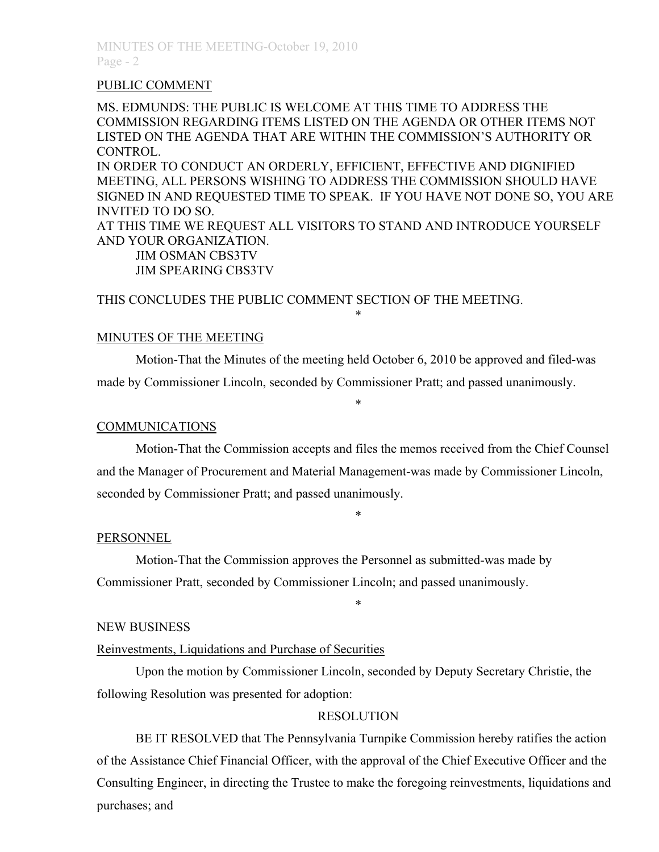### PUBLIC COMMENT

MS. EDMUNDS: THE PUBLIC IS WELCOME AT THIS TIME TO ADDRESS THE COMMISSION REGARDING ITEMS LISTED ON THE AGENDA OR OTHER ITEMS NOT LISTED ON THE AGENDA THAT ARE WITHIN THE COMMISSION'S AUTHORITY OR CONTROL.

IN ORDER TO CONDUCT AN ORDERLY, EFFICIENT, EFFECTIVE AND DIGNIFIED MEETING, ALL PERSONS WISHING TO ADDRESS THE COMMISSION SHOULD HAVE SIGNED IN AND REQUESTED TIME TO SPEAK. IF YOU HAVE NOT DONE SO, YOU ARE INVITED TO DO SO.

AT THIS TIME WE REQUEST ALL VISITORS TO STAND AND INTRODUCE YOURSELF AND YOUR ORGANIZATION.

JIM OSMAN CBS3TV JIM SPEARING CBS3TV

THIS CONCLUDES THE PUBLIC COMMENT SECTION OF THE MEETING.

### MINUTES OF THE MEETING

Motion-That the Minutes of the meeting held October 6, 2010 be approved and filed-was made by Commissioner Lincoln, seconded by Commissioner Pratt; and passed unanimously.

\*

\*

### COMMUNICATIONS

Motion-That the Commission accepts and files the memos received from the Chief Counsel and the Manager of Procurement and Material Management-was made by Commissioner Lincoln, seconded by Commissioner Pratt; and passed unanimously.

\*

\*

### PERSONNEL

Motion-That the Commission approves the Personnel as submitted-was made by Commissioner Pratt, seconded by Commissioner Lincoln; and passed unanimously.

#### NEW BUSINESS

### Reinvestments, Liquidations and Purchase of Securities

Upon the motion by Commissioner Lincoln, seconded by Deputy Secretary Christie, the following Resolution was presented for adoption:

### RESOLUTION

BE IT RESOLVED that The Pennsylvania Turnpike Commission hereby ratifies the action of the Assistance Chief Financial Officer, with the approval of the Chief Executive Officer and the Consulting Engineer, in directing the Trustee to make the foregoing reinvestments, liquidations and purchases; and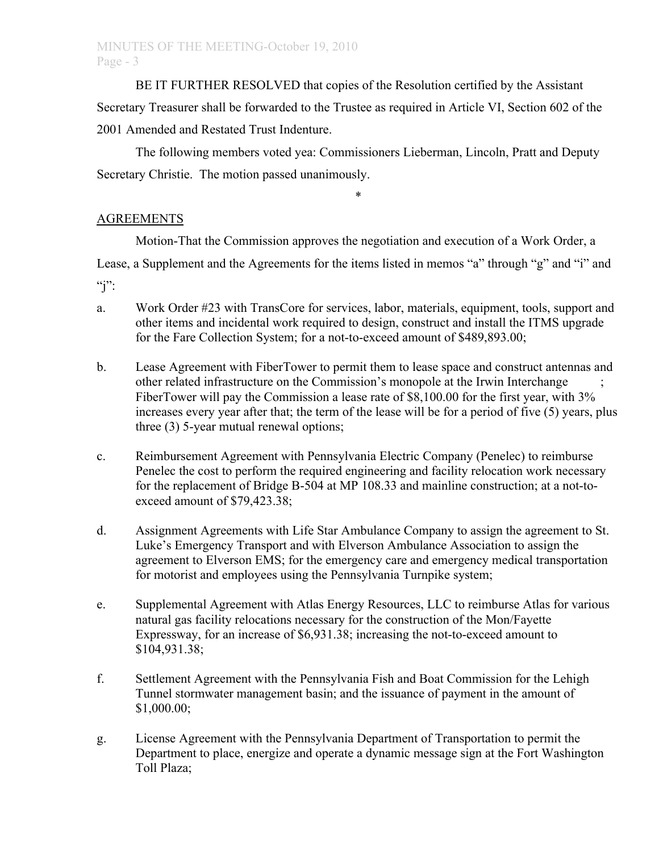BE IT FURTHER RESOLVED that copies of the Resolution certified by the Assistant Secretary Treasurer shall be forwarded to the Trustee as required in Article VI, Section 602 of the 2001 Amended and Restated Trust Indenture.

The following members voted yea: Commissioners Lieberman, Lincoln, Pratt and Deputy Secretary Christie. The motion passed unanimously.

# AGREEMENTS

Motion-That the Commission approves the negotiation and execution of a Work Order, a

\*

Lease, a Supplement and the Agreements for the items listed in memos "a" through "g" and "i" and

 $\mathbf{q}$ ":

- a. Work Order #23 with TransCore for services, labor, materials, equipment, tools, support and other items and incidental work required to design, construct and install the ITMS upgrade for the Fare Collection System; for a not-to-exceed amount of \$489,893.00;
- b. Lease Agreement with FiberTower to permit them to lease space and construct antennas and other related infrastructure on the Commission's monopole at the Irwin Interchange ; FiberTower will pay the Commission a lease rate of \$8,100.00 for the first year, with 3% increases every year after that; the term of the lease will be for a period of five (5) years, plus three (3) 5-year mutual renewal options;
- c. Reimbursement Agreement with Pennsylvania Electric Company (Penelec) to reimburse Penelec the cost to perform the required engineering and facility relocation work necessary for the replacement of Bridge B-504 at MP 108.33 and mainline construction; at a not-toexceed amount of \$79,423.38;
- d. Assignment Agreements with Life Star Ambulance Company to assign the agreement to St. Luke's Emergency Transport and with Elverson Ambulance Association to assign the agreement to Elverson EMS; for the emergency care and emergency medical transportation for motorist and employees using the Pennsylvania Turnpike system;
- e. Supplemental Agreement with Atlas Energy Resources, LLC to reimburse Atlas for various natural gas facility relocations necessary for the construction of the Mon/Fayette Expressway, for an increase of \$6,931.38; increasing the not-to-exceed amount to \$104,931.38;
- f. Settlement Agreement with the Pennsylvania Fish and Boat Commission for the Lehigh Tunnel stormwater management basin; and the issuance of payment in the amount of \$1,000.00;
- g. License Agreement with the Pennsylvania Department of Transportation to permit the Department to place, energize and operate a dynamic message sign at the Fort Washington Toll Plaza;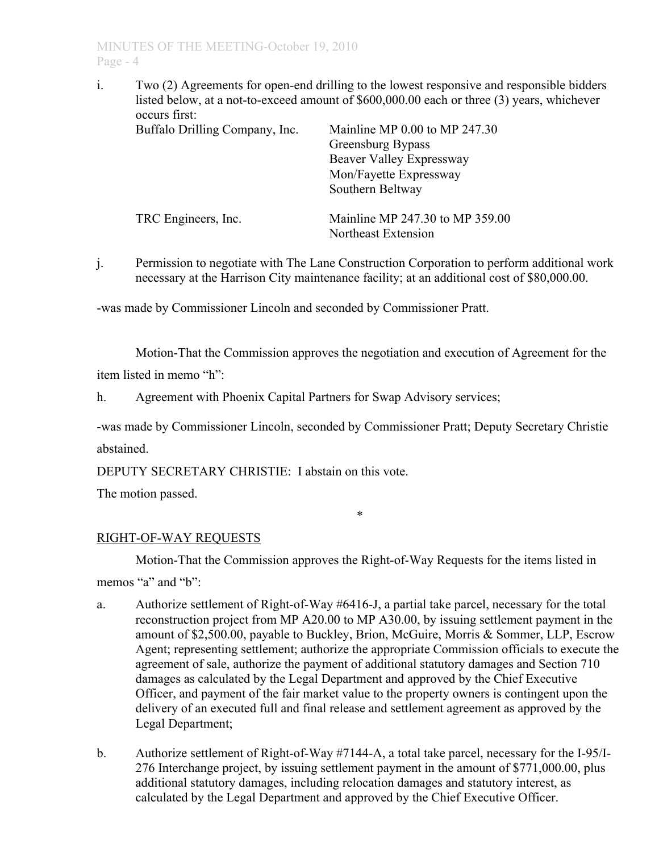i. Two (2) Agreements for open-end drilling to the lowest responsive and responsible bidders listed below, at a not-to-exceed amount of \$600,000.00 each or three (3) years, whichever occurs first:

| Buffalo Drilling Company, Inc. | Mainline MP 0.00 to MP 247.30<br>Greensburg Bypass<br>Beaver Valley Expressway<br>Mon/Fayette Expressway<br>Southern Beltway |
|--------------------------------|------------------------------------------------------------------------------------------------------------------------------|
| TRC Engineers, Inc.            | Mainline MP 247.30 to MP 359.00<br>Northeast Extension                                                                       |

j. Permission to negotiate with The Lane Construction Corporation to perform additional work necessary at the Harrison City maintenance facility; at an additional cost of \$80,000.00.

-was made by Commissioner Lincoln and seconded by Commissioner Pratt.

Motion-That the Commission approves the negotiation and execution of Agreement for the

item listed in memo "h":

h. Agreement with Phoenix Capital Partners for Swap Advisory services;

-was made by Commissioner Lincoln, seconded by Commissioner Pratt; Deputy Secretary Christie abstained.

DEPUTY SECRETARY CHRISTIE: I abstain on this vote.

The motion passed.

\*

# RIGHT-OF-WAY REQUESTS

Motion-That the Commission approves the Right-of-Way Requests for the items listed in

memos "a" and "b"

- a. Authorize settlement of Right-of-Way #6416-J, a partial take parcel, necessary for the total reconstruction project from MP A20.00 to MP A30.00, by issuing settlement payment in the amount of \$2,500.00, payable to Buckley, Brion, McGuire, Morris & Sommer, LLP, Escrow Agent; representing settlement; authorize the appropriate Commission officials to execute the agreement of sale, authorize the payment of additional statutory damages and Section 710 damages as calculated by the Legal Department and approved by the Chief Executive Officer, and payment of the fair market value to the property owners is contingent upon the delivery of an executed full and final release and settlement agreement as approved by the Legal Department;
- b. Authorize settlement of Right-of-Way #7144-A, a total take parcel, necessary for the I-95/I-276 Interchange project, by issuing settlement payment in the amount of \$771,000.00, plus additional statutory damages, including relocation damages and statutory interest, as calculated by the Legal Department and approved by the Chief Executive Officer.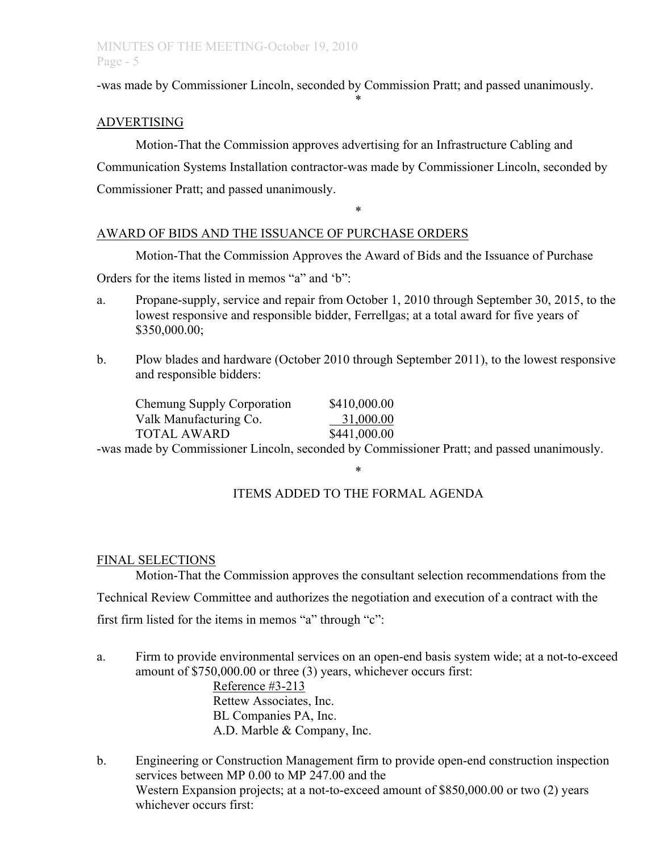# MINUTES OF THE MEETING-October 19, 2010 Page - 5

-was made by Commissioner Lincoln, seconded by Commission Pratt; and passed unanimously.

\*

## ADVERTISING

Motion-That the Commission approves advertising for an Infrastructure Cabling and Communication Systems Installation contractor-was made by Commissioner Lincoln, seconded by Commissioner Pratt; and passed unanimously.

## AWARD OF BIDS AND THE ISSUANCE OF PURCHASE ORDERS

Motion-That the Commission Approves the Award of Bids and the Issuance of Purchase

\*

Orders for the items listed in memos "a" and 'b":

- a. Propane-supply, service and repair from October 1, 2010 through September 30, 2015, to the lowest responsive and responsible bidder, Ferrellgas; at a total award for five years of \$350,000.00;
- b. Plow blades and hardware (October 2010 through September 2011), to the lowest responsive and responsible bidders:

| Chemung Supply Corporation | \$410,000.00 |
|----------------------------|--------------|
| Valk Manufacturing Co.     | 31,000.00    |
| <b>TOTAL AWARD</b>         | \$441,000.00 |

-was made by Commissioner Lincoln, seconded by Commissioner Pratt; and passed unanimously.

# ITEMS ADDED TO THE FORMAL AGENDA

\*

### FINAL SELECTIONS

Motion-That the Commission approves the consultant selection recommendations from the Technical Review Committee and authorizes the negotiation and execution of a contract with the first firm listed for the items in memos "a" through "c":

a. Firm to provide environmental services on an open-end basis system wide; at a not-to-exceed amount of \$750,000.00 or three (3) years, whichever occurs first:

Reference #3-213 Rettew Associates, Inc. BL Companies PA, Inc. A.D. Marble & Company, Inc.

b. Engineering or Construction Management firm to provide open-end construction inspection services between MP 0.00 to MP 247.00 and the Western Expansion projects; at a not-to-exceed amount of \$850,000.00 or two (2) years whichever occurs first: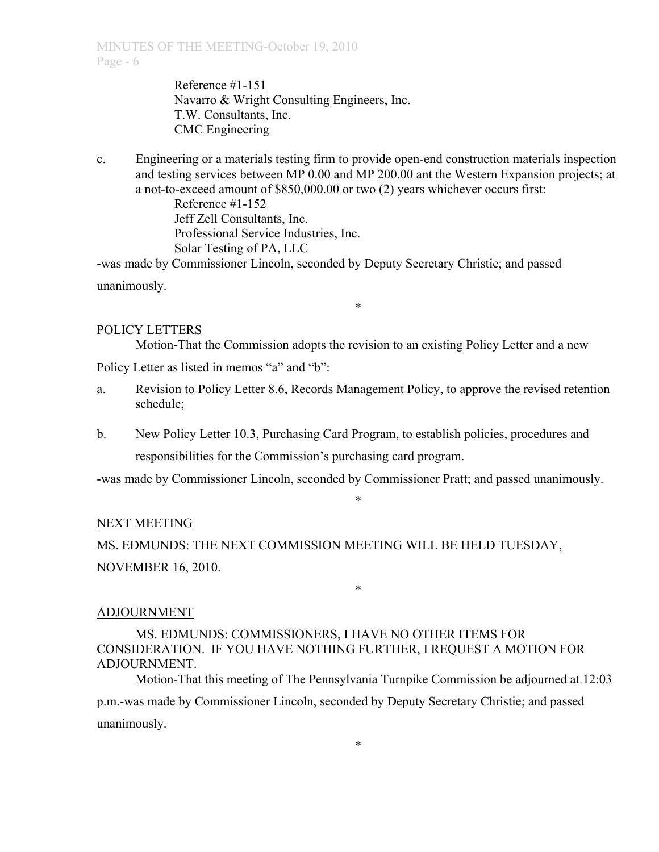Reference #1-151 Navarro & Wright Consulting Engineers, Inc. T.W. Consultants, Inc. CMC Engineering

c. Engineering or a materials testing firm to provide open-end construction materials inspection and testing services between MP 0.00 and MP 200.00 ant the Western Expansion projects; at a not-to-exceed amount of \$850,000.00 or two (2) years whichever occurs first:

> Reference #1-152 Jeff Zell Consultants, Inc. Professional Service Industries, Inc. Solar Testing of PA, LLC

-was made by Commissioner Lincoln, seconded by Deputy Secretary Christie; and passed unanimously.

### POLICY LETTERS

Motion-That the Commission adopts the revision to an existing Policy Letter and a new Policy Letter as listed in memos "a" and "b":

a. Revision to Policy Letter 8.6, Records Management Policy, to approve the revised retention schedule;

\*

b. New Policy Letter 10.3, Purchasing Card Program, to establish policies, procedures and responsibilities for the Commission's purchasing card program.

-was made by Commissioner Lincoln, seconded by Commissioner Pratt; and passed unanimously.

\*

\*

### NEXT MEETING

MS. EDMUNDS: THE NEXT COMMISSION MEETING WILL BE HELD TUESDAY, NOVEMBER 16, 2010.

### ADJOURNMENT

MS. EDMUNDS: COMMISSIONERS, I HAVE NO OTHER ITEMS FOR CONSIDERATION. IF YOU HAVE NOTHING FURTHER, I REQUEST A MOTION FOR ADJOURNMENT.

Motion-That this meeting of The Pennsylvania Turnpike Commission be adjourned at 12:03 p.m.-was made by Commissioner Lincoln, seconded by Deputy Secretary Christie; and passed unanimously.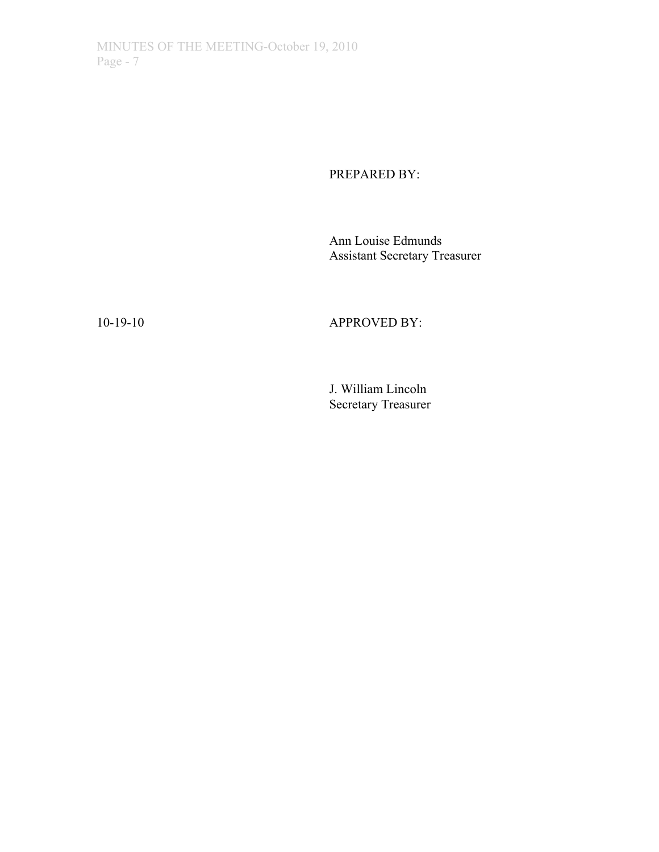# PREPARED BY:

Ann Louise Edmunds Assistant Secretary Treasurer

# 10-19-10 APPROVED BY:

J. William Lincoln Secretary Treasurer